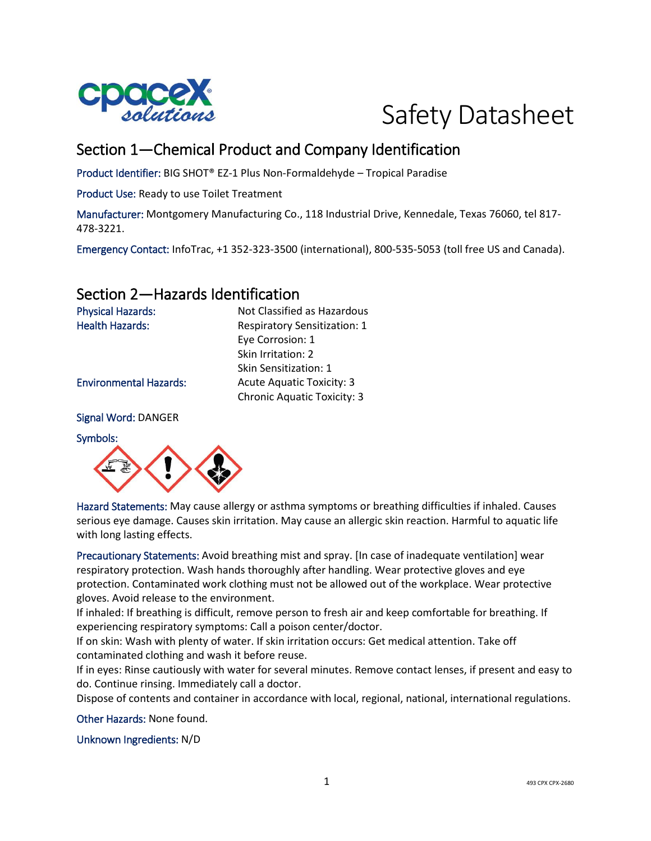



## Section 1—Chemical Product and Company Identification

Eye Corrosion: 1 Skin Irritation: 2 Skin Sensitization: 1

Chronic Aquatic Toxicity: 3

Product Identifier: BIG SHOT® EZ-1 Plus Non-Formaldehyde – Tropical Paradise

Product Use: Ready to use Toilet Treatment

Manufacturer: Montgomery Manufacturing Co., 118 Industrial Drive, Kennedale, Texas 76060, tel 817- 478-3221.

Emergency Contact: InfoTrac, +1 352-323-3500 (international), 800-535-5053 (toll free US and Canada).

## Section 2—Hazards Identification

Physical Hazards: Not Classified as Hazardous Health Hazards: Respiratory Sensitization: 1

Environmental Hazards: Acute Aquatic Toxicity: 3

Signal Word: DANGER

Symbols:



Hazard Statements: May cause allergy or asthma symptoms or breathing difficulties if inhaled. Causes serious eye damage. Causes skin irritation. May cause an allergic skin reaction. Harmful to aquatic life with long lasting effects.

Precautionary Statements: Avoid breathing mist and spray. [In case of inadequate ventilation] wear respiratory protection. Wash hands thoroughly after handling. Wear protective gloves and eye protection. Contaminated work clothing must not be allowed out of the workplace. Wear protective gloves. Avoid release to the environment.

If inhaled: If breathing is difficult, remove person to fresh air and keep comfortable for breathing. If experiencing respiratory symptoms: Call a poison center/doctor.

If on skin: Wash with plenty of water. If skin irritation occurs: Get medical attention. Take off contaminated clothing and wash it before reuse.

If in eyes: Rinse cautiously with water for several minutes. Remove contact lenses, if present and easy to do. Continue rinsing. Immediately call a doctor.

Dispose of contents and container in accordance with local, regional, national, international regulations.

Other Hazards: None found.

Unknown Ingredients: N/D

1 493 CPX CPX-2680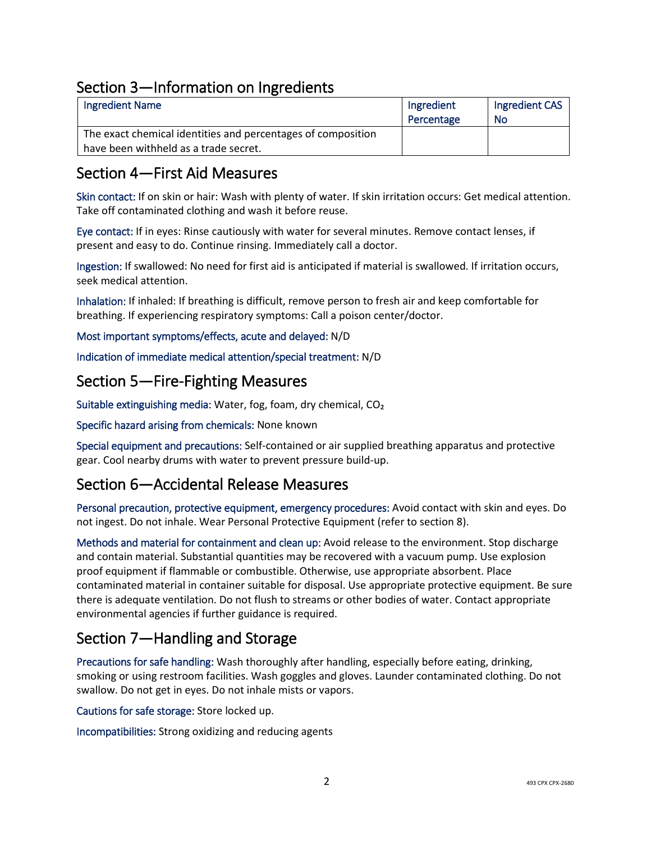## Section 3—Information on Ingredients

| <b>Ingredient Name</b>                                       | Ingredient | Ingredient CAS |
|--------------------------------------------------------------|------------|----------------|
|                                                              | Percentage | No             |
| The exact chemical identities and percentages of composition |            |                |
| have been withheld as a trade secret.                        |            |                |

## Section 4—First Aid Measures

Skin contact: If on skin or hair: Wash with plenty of water. If skin irritation occurs: Get medical attention. Take off contaminated clothing and wash it before reuse.

Eye contact: If in eyes: Rinse cautiously with water for several minutes. Remove contact lenses, if present and easy to do. Continue rinsing. Immediately call a doctor.

Ingestion: If swallowed: No need for first aid is anticipated if material is swallowed. If irritation occurs, seek medical attention.

Inhalation: If inhaled: If breathing is difficult, remove person to fresh air and keep comfortable for breathing. If experiencing respiratory symptoms: Call a poison center/doctor.

Most important symptoms/effects, acute and delayed: N/D

Indication of immediate medical attention/special treatment: N/D

### Section 5—Fire-Fighting Measures

Suitable extinguishing media: Water, fog, foam, dry chemical, CO₂

Specific hazard arising from chemicals: None known

Special equipment and precautions: Self-contained or air supplied breathing apparatus and protective gear. Cool nearby drums with water to prevent pressure build-up.

## Section 6—Accidental Release Measures

Personal precaution, protective equipment, emergency procedures: Avoid contact with skin and eyes. Do not ingest. Do not inhale. Wear Personal Protective Equipment (refer to section 8).

Methods and material for containment and clean up: Avoid release to the environment. Stop discharge and contain material. Substantial quantities may be recovered with a vacuum pump. Use explosion proof equipment if flammable or combustible. Otherwise, use appropriate absorbent. Place contaminated material in container suitable for disposal. Use appropriate protective equipment. Be sure there is adequate ventilation. Do not flush to streams or other bodies of water. Contact appropriate environmental agencies if further guidance is required.

## Section 7—Handling and Storage

Precautions for safe handling: Wash thoroughly after handling, especially before eating, drinking, smoking or using restroom facilities. Wash goggles and gloves. Launder contaminated clothing. Do not swallow. Do not get in eyes. Do not inhale mists or vapors.

Cautions for safe storage: Store locked up.

Incompatibilities: Strong oxidizing and reducing agents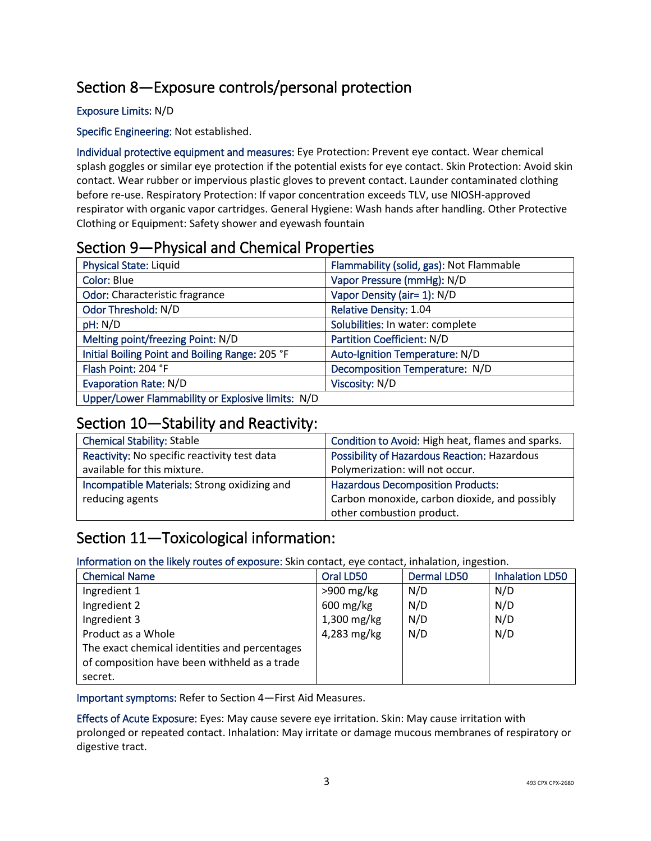# Section 8—Exposure controls/personal protection

#### Exposure Limits: N/D

Specific Engineering: Not established.

Individual protective equipment and measures: Eye Protection: Prevent eye contact. Wear chemical splash goggles or similar eye protection if the potential exists for eye contact. Skin Protection: Avoid skin contact. Wear rubber or impervious plastic gloves to prevent contact. Launder contaminated clothing before re-use. Respiratory Protection: If vapor concentration exceeds TLV, use NIOSH-approved respirator with organic vapor cartridges. General Hygiene: Wash hands after handling. Other Protective Clothing or Equipment: Safety shower and eyewash fountain

## Section 9—Physical and Chemical Properties

| Physical State: Liquid                            | Flammability (solid, gas): Not Flammable |
|---------------------------------------------------|------------------------------------------|
| Color: Blue                                       | Vapor Pressure (mmHg): N/D               |
| Odor: Characteristic fragrance                    | Vapor Density (air= 1): N/D              |
| Odor Threshold: N/D                               | Relative Density: 1.04                   |
| pH: N/D                                           | Solubilities: In water: complete         |
| Melting point/freezing Point: N/D                 | Partition Coefficient: N/D               |
| Initial Boiling Point and Boiling Range: 205 °F   | Auto-Ignition Temperature: N/D           |
| Flash Point: 204 °F                               | Decomposition Temperature: N/D           |
| <b>Evaporation Rate: N/D</b>                      | Viscosity: N/D                           |
| Upper/Lower Flammability or Explosive limits: N/D |                                          |

### Section 10—Stability and Reactivity:

| <b>Chemical Stability: Stable</b>            | Condition to Avoid: High heat, flames and sparks.   |
|----------------------------------------------|-----------------------------------------------------|
| Reactivity: No specific reactivity test data | <b>Possibility of Hazardous Reaction: Hazardous</b> |
| available for this mixture.                  | Polymerization: will not occur.                     |
| Incompatible Materials: Strong oxidizing and | <b>Hazardous Decomposition Products:</b>            |
| reducing agents                              | Carbon monoxide, carbon dioxide, and possibly       |
|                                              | other combustion product.                           |

## Section 11—Toxicological information:

Information on the likely routes of exposure: Skin contact, eye contact, inhalation, ingestion.

| <b>Chemical Name</b>                          | Oral LD50              | <b>Dermal LD50</b> | <b>Inhalation LD50</b> |
|-----------------------------------------------|------------------------|--------------------|------------------------|
| Ingredient 1                                  | $>900$ mg/kg           | N/D                | N/D                    |
| Ingredient 2                                  | $600 \,\mathrm{mg/kg}$ | N/D                | N/D                    |
| Ingredient 3                                  | 1,300 mg/kg            | N/D                | N/D                    |
| Product as a Whole                            | 4,283 mg/kg            | N/D                | N/D                    |
| The exact chemical identities and percentages |                        |                    |                        |
| of composition have been withheld as a trade  |                        |                    |                        |
| secret.                                       |                        |                    |                        |

Important symptoms: Refer to Section 4—First Aid Measures.

Effects of Acute Exposure: Eyes: May cause severe eye irritation. Skin: May cause irritation with prolonged or repeated contact. Inhalation: May irritate or damage mucous membranes of respiratory or digestive tract.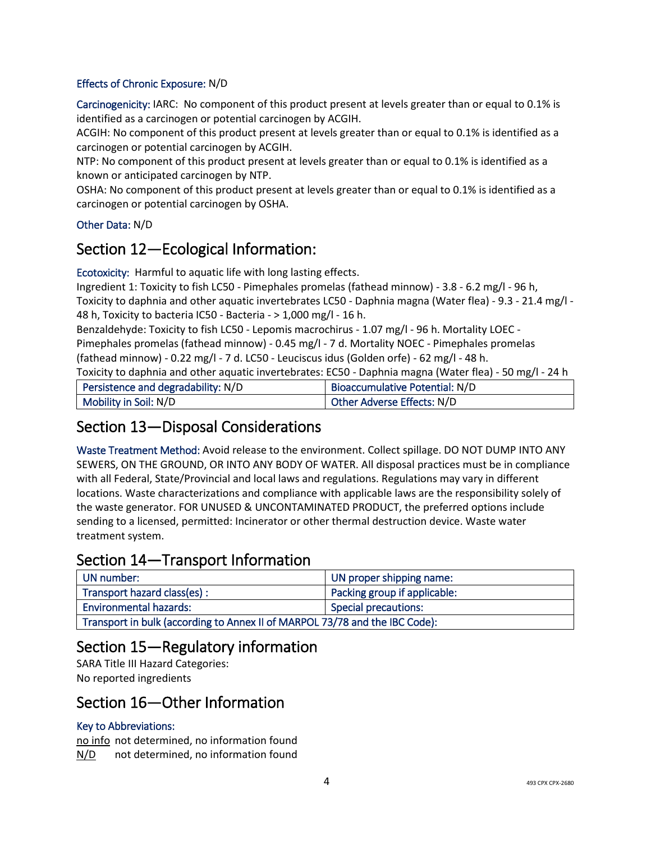#### Effects of Chronic Exposure: N/D

Carcinogenicity: IARC: No component of this product present at levels greater than or equal to 0.1% is identified as a carcinogen or potential carcinogen by ACGIH.

ACGIH: No component of this product present at levels greater than or equal to 0.1% is identified as a carcinogen or potential carcinogen by ACGIH.

NTP: No component of this product present at levels greater than or equal to 0.1% is identified as a known or anticipated carcinogen by NTP.

OSHA: No component of this product present at levels greater than or equal to 0.1% is identified as a carcinogen or potential carcinogen by OSHA.

#### Other Data: N/D

### Section 12—Ecological Information:

Ecotoxicity: Harmful to aquatic life with long lasting effects.

Ingredient 1: Toxicity to fish LC50 - Pimephales promelas (fathead minnow) - 3.8 - 6.2 mg/l - 96 h, Toxicity to daphnia and other aquatic invertebrates LC50 - Daphnia magna (Water flea) - 9.3 - 21.4 mg/l - 48 h, Toxicity to bacteria IC50 - Bacteria - > 1,000 mg/l - 16 h.

Benzaldehyde: Toxicity to fish LC50 - Lepomis macrochirus - 1.07 mg/l - 96 h. Mortality LOEC - Pimephales promelas (fathead minnow) - 0.45 mg/l - 7 d. Mortality NOEC - Pimephales promelas (fathead minnow) - 0.22 mg/l - 7 d. LC50 - Leuciscus idus (Golden orfe) - 62 mg/l - 48 h.

Toxicity to daphnia and other aquatic invertebrates: EC50 - Daphnia magna (Water flea) - 50 mg/l - 24 h

| Persistence and degradability: N/D | Bioaccumulative Potential: N/D |
|------------------------------------|--------------------------------|
| Mobility in Soil: N/D              | Other Adverse Effects: N/D     |

## Section 13—Disposal Considerations

Waste Treatment Method: Avoid release to the environment. Collect spillage. DO NOT DUMP INTO ANY SEWERS, ON THE GROUND, OR INTO ANY BODY OF WATER. All disposal practices must be in compliance with all Federal, State/Provincial and local laws and regulations. Regulations may vary in different locations. Waste characterizations and compliance with applicable laws are the responsibility solely of the waste generator. FOR UNUSED & UNCONTAMINATED PRODUCT, the preferred options include sending to a licensed, permitted: Incinerator or other thermal destruction device. Waste water treatment system.

## Section 14—Transport Information

| UN number:                                                                  | UN proper shipping name:     |
|-----------------------------------------------------------------------------|------------------------------|
| Transport hazard class(es) :                                                | Packing group if applicable: |
| <b>Environmental hazards:</b>                                               | <b>Special precautions:</b>  |
| Transport in bulk (according to Annex II of MARPOL 73/78 and the IBC Code): |                              |

## Section 15—Regulatory information

SARA Title III Hazard Categories: No reported ingredients

### Section 16—Other Information

#### Key to Abbreviations:

no info not determined, no information found N/D not determined, no information found